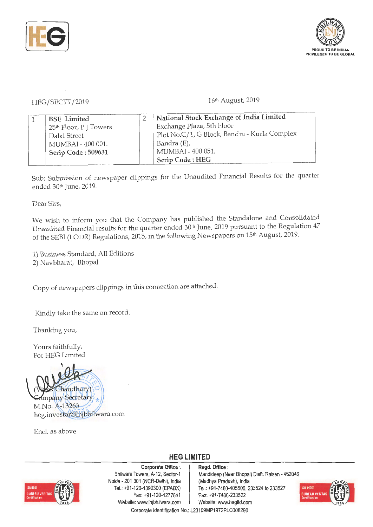



HEG/SECTT/2019

16<sup>th</sup> August, 2019

| <b>BSE</b> Limited                | National Stock Exchange of India Limited     |
|-----------------------------------|----------------------------------------------|
| 25 <sup>th</sup> Floor, PJ Towers | Exchange Plaza, 5th Floor                    |
| Dalal Street                      | Plot No.C/1, G Block, Bandra - Kurla Complex |
| MUMBAI - 400 001.                 | Bandra (E),                                  |
| Scrip Code: 509631                | MUMBAI - 400 051.                            |
|                                   | Scrip Code: HEG                              |

Sub: Submission of newspaper clippings for the Unaudited Financial Results for the quarter ended 30th June, 2019.

Dear Sirs,

We wish to inform you that the Company has published the Standalone and Consolidated Unaudited Financial results for the quarter ended 30<sup>th</sup> June, 2019 pursuant to the Regulation 47 of the SEBI (LODR) Regulations, 2015, in the following Newspapers on 15<sup>th</sup> August, 2019.

1) Business Standard, All Editions 2) Navbharat, Bhopal

Copy of newspapers clippings in this connection are attached.

Kindly take the same on record.

Thanking you,

Yours faithfully, For HEG Limited



Encl. as above

**HEG LIMITED** 



**Corporate Office** : **Regd. Office** : Noida - 201 301 (NCR-Delhi), India (Madhya Pradesh), India Fax: +91-120-4277841 Fax: +91 -7480-233522 Website: www.lnjbhilwara.com | Website: www.hegltd.com

Bhilwara Towers, A-12, Sector-1 | Mandideep (Near Bhopal) Distt. Raisen - 462046 Tel.: +91 -120-4390300 (EPABX) Tel.: +91-7480-405500, 233524 to 233527

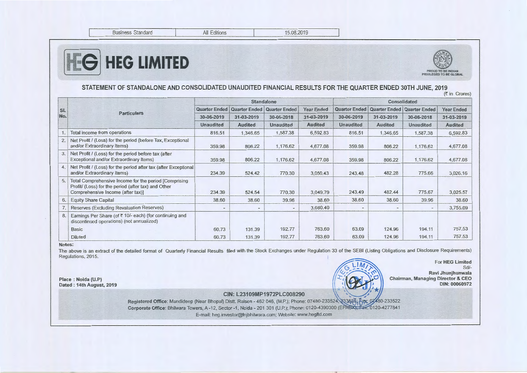Business Standard

# [tliE6] **HEG LIMITED**



#### STATEMENT OF STANDALONE AND CONSOLIDATED UNAUDITED FINANCIAL RESULTS FOR THE QUARTER ENDED 30TH JUNE, 2019  $($ ₹ in Crores)

|            | <b>Particulars</b>                                                                                                                                 | <b>Standalone</b>        |                      |                          |                   | Consolidated         |                          |                          |                   |
|------------|----------------------------------------------------------------------------------------------------------------------------------------------------|--------------------------|----------------------|--------------------------|-------------------|----------------------|--------------------------|--------------------------|-------------------|
| SI.<br>No. |                                                                                                                                                    | <b>Quarter Ended</b>     | <b>Quarter Ended</b> | Quarter Ended            | <b>Year Ended</b> | <b>Quarter Ended</b> | <b>Quarter Ended</b>     | <b>Quarter Ended</b>     | <b>Year Ended</b> |
|            |                                                                                                                                                    | 30-06-2019               | 31-03-2019           | 30-06-2018               | 31-03-2019        | 30-06-2019           | 31-03-2019               | 30-06-2018               | 31-03-2019        |
|            |                                                                                                                                                    | <b>Unaudited</b>         | <b>Audited</b>       | <b>Unaudited</b>         | <b>Audited</b>    | <b>Unaudited</b>     | <b>Audited</b>           | <b>Unaudited</b>         | <b>Audited</b>    |
|            | Total income from operations                                                                                                                       | 816.51                   | 1,346.65             | 1,587.38                 | 6,592.83          | 816.51               | 1,346.65                 | 1,587.38                 | 6,592.83          |
| 2.         | Net Profit / (Loss) for the period (before Tax, Exceptional<br>and/or Extraordinary Items)                                                         | 359.98                   | 806.22               | 1,176.62                 | 4,677.08          | 359.98               | 806.22                   | 1.176.62                 | 4,677.08          |
| 3.         | Net Profit / (Loss) for the period before tax (after<br>Exceptional and/or Extraordinary Items)                                                    | 359.98                   | 806.22               | 1,176.62                 | 4,677.08          | 359.98               | 806.22                   | 1,176.62                 | 4,677.08          |
| 4.1        | Net Profit / (Loss) for the period after tax (after Exceptional<br>and/or Extraordinary Items)                                                     | 234,39                   | 524.42               | 770,30                   | 3,050.43          | 243.48               | 482.28                   | 775.66                   | 3,026.16          |
| 5.         | Total Comprehensive Income for the period [Comprising]<br>Profit/ (Loss) for the period (after tax) and Other<br>Comprehensive Income (after tax)] | 234.39                   | 524.54               | 770.30                   | 3,049.79          | 243.49               | 482.44                   | 775.67                   | 3,025.57          |
| 6.         | <b>Equity Share Capital</b>                                                                                                                        | 38,60                    | 38.60                | 39.96                    | 38.60             | 38.60                | 38.60                    | 39.96                    | 38.60             |
|            | Reserves (Excluding Revaluation Reserves)                                                                                                          | $\overline{\phantom{a}}$ | $\blacksquare$       | $\overline{\phantom{a}}$ | 3,680.40          |                      | $\overline{\phantom{a}}$ | $\overline{\phantom{a}}$ | 3.755.09          |
| 8.         | Earnings Per Share (of ₹ 10/- each) (for continuing and<br>discontinued operations) (not annualized)                                               |                          |                      |                          |                   |                      |                          |                          |                   |
|            | <b>Basic</b>                                                                                                                                       | 60.73                    | 131.39               | 192.77                   | 763,60            | 63.09                | 124.96                   | 194.11                   | 757.53            |
|            | <b>Diluted</b>                                                                                                                                     | 60.73                    | 131.39               | 192.77                   | 763.60            | 63.09                | 124.96                   | 194.11                   | 757.53            |

#### **Notes:**

The above is an extract of the detailed format of Quarterly Financial Results filed with the Stock Exchanges under Regulation 33 of the SEBI (Listing Obligations and Disclosure Requirements) Regulations, 2015.

**Place** : **Noida (U.P) Dated: 14th August, 2019** 



For **HEG Limited**  Sd/- **Ravi Jhunjhunwala Chairman, Managing Director** & **CEO**  > II **DIN: 00060972** 

*,>\** **CIN:** L23109MP1972PLC008290 -~ -... ~

Registered Office: Mandideep (Near Bhopal) Distt. Raisen - 462 046, (M.P.); Phone: 07480-233524; 3626; Fax: 07480-233522 Corporate Office: Bhilwara Towers, A-12, Sector -1, Noida - 201 301 (U.P.); Phone: 0120-4390300 (EPABX). 6120-4277841 E-mail: heg.investor@lnjbhilwara.com; Website: www.hegltd.com